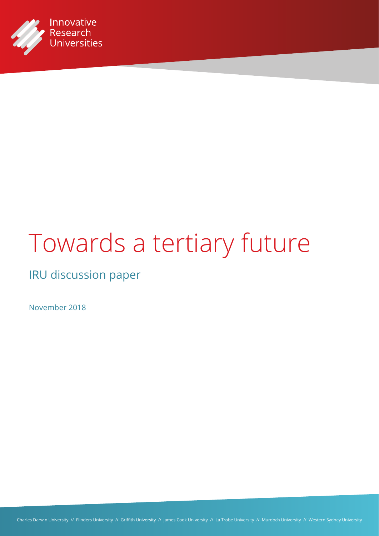

# Towards a tertiary future

# IRU discussion paper

November 2018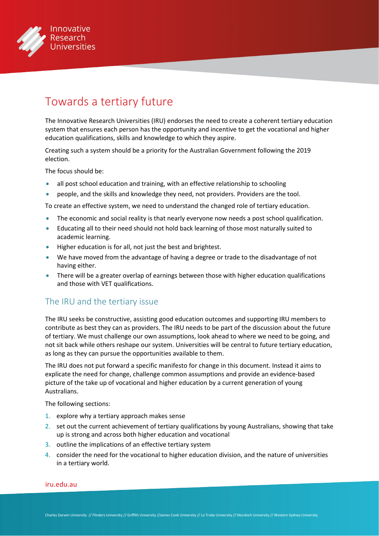

# Towards a tertiary future

The Innovative Research Universities (IRU) endorses the need to create a coherent tertiary education system that ensures each person has the opportunity and incentive to get the vocational and higher education qualifications, skills and knowledge to which they aspire.

Creating such a system should be a priority for the Australian Government following the 2019 election.

The focus should be:

- all post school education and training, with an effective relationship to schooling
- people, and the skills and knowledge they need, not providers. Providers are the tool.

To create an effective system, we need to understand the changed role of tertiary education.

- The economic and social reality is that nearly everyone now needs a post school qualification.
- Educating all to their need should not hold back learning of those most naturally suited to academic learning.
- Higher education is for all, not just the best and brightest.
- We have moved from the advantage of having a degree or trade to the disadvantage of not having either.
- There will be a greater overlap of earnings between those with higher education qualifications and those with VET qualifications.

#### The IRU and the tertiary issue

The IRU seeks be constructive, assisting good education outcomes and supporting IRU members to contribute as best they can as providers. The IRU needs to be part of the discussion about the future of tertiary. We must challenge our own assumptions, look ahead to where we need to be going, and not sit back while others reshape our system. Universities will be central to future tertiary education, as long as they can pursue the opportunities available to them.

The IRU does not put forward a specific manifesto for change in this document. Instead it aims to explicate the need for change, challenge common assumptions and provide an evidence-based picture of the take up of vocational and higher education by a current generation of young Australians.

The following sections:

- 1. explore why a tertiary approach makes sense
- 2. set out the current achievement of tertiary qualifications by young Australians, showing that take up is strong and across both higher education and vocational
- 3. outline the implications of an effective tertiary system
- 4. consider the need for the vocational to higher education division, and the nature of universities in a tertiary world.

#### [iru.edu.au](http://iru.edu.au)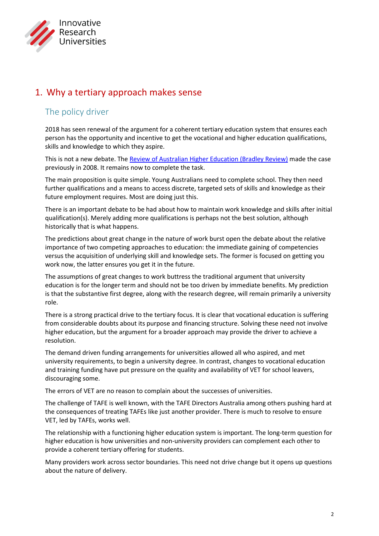

## 1. Why a tertiary approach makes sense

## The policy driver

2018 has seen renewal of the argument for a coherent tertiary education system that ensures each person has the opportunity and incentive to get the vocational and higher education qualifications, skills and knowledge to which they aspire.

This is not a new debate. Th[e Review of Australian Higher Education \(Bradley Review\)](http://www.voced.edu.au/content/ngv%3A32134) made the case previously in 2008. It remains now to complete the task.

The main proposition is quite simple. Young Australians need to complete school. They then need further qualifications and a means to access discrete, targeted sets of skills and knowledge as their future employment requires. Most are doing just this.

There is an important debate to be had about how to maintain work knowledge and skills after initial qualification(s). Merely adding more qualifications is perhaps not the best solution, although historically that is what happens.

The predictions about great change in the nature of work burst open the debate about the relative importance of two competing approaches to education: the immediate gaining of competencies versus the acquisition of underlying skill and knowledge sets. The former is focused on getting you work now, the latter ensures you get it in the future.

The assumptions of great changes to work buttress the traditional argument that university education is for the longer term and should not be too driven by immediate benefits. My prediction is that the substantive first degree, along with the research degree, will remain primarily a university role.

There is a strong practical drive to the tertiary focus. It is clear that vocational education is suffering from considerable doubts about its purpose and financing structure. Solving these need not involve higher education, but the argument for a broader approach may provide the driver to achieve a resolution.

The demand driven funding arrangements for universities allowed all who aspired, and met university requirements, to begin a university degree. In contrast, changes to vocational education and training funding have put pressure on the quality and availability of VET for school leavers, discouraging some.

The errors of VET are no reason to complain about the successes of universities.

The challenge of TAFE is well known, with the TAFE Directors Australia among others pushing hard at the consequences of treating TAFEs like just another provider. There is much to resolve to ensure VET, led by TAFEs, works well.

The relationship with a functioning higher education system is important. The long-term question for higher education is how universities and non-university providers can complement each other to provide a coherent tertiary offering for students.

Many providers work across sector boundaries. This need not drive change but it opens up questions about the nature of delivery.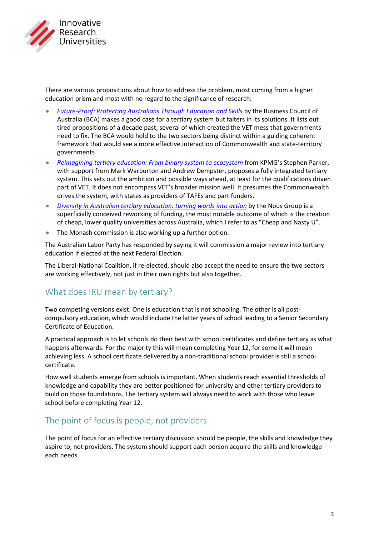

There are various propositions about how to address the problem, most coming from a higher education prism and most with no regard to the significance of research:

- *[Future-Proof: Protecting Australians Through Education and Skills](http://www.bca.com.au/publications/future-proof-protecting-australians-through-education-and-skills)* by the Business Council of Australia (BCA) makes a good case for a tertiary system but falters in its solutions. It lists out tired propositions of a decade past, several of which created the VET mess that governments need to fix. The BCA would hold to the two sectors being distinct within a guiding coherent framework that would see a more effective interaction of Commonwealth and state-territory governments
- *[Reimagining tertiary education: From binary system to ecosystem](https://home.kpmg.com/au/en/home/insights/2018/08/reimagining-tertiary-education.html)* from KPMG's Stephen Parker, with support from Mark Warburton and Andrew Dempster, proposes a fully integrated tertiary system. This sets out the ambition and possible ways ahead, at least for the qualifications driven part of VET. It does not encompass VET's broader mission well. It presumes the Commonwealth drives the system, with states as providers of TAFEs and part funders.
- *[Diversity in Australian tertiary education: turning words into action](https://www.nousgroup.com/wp-content/uploads/2018/10/Diversity-in-Australian-tertiary-education-.pdf)* by the Nous Group is a superficially conceived reworking of funding, the most notable outcome of which is the creation of cheap, lower quality universities across Australia, which I refer to as "Cheap and Nasty U".
- The Monash commission is also working up a further option.

The Australian Labor Party has responded by saying it will commission a major review into tertiary education if elected at the next Federal Election.

The Liberal-National Coalition, if re-elected, should also accept the need to ensure the two sectors are working effectively, not just in their own rights but also together.

#### What does IRU mean by tertiary?

Two competing versions exist. One is education that is not schooling. The other is all postcompulsory education, which would include the latter years of school leading to a Senior Secondary Certificate of Education.

A practical approach is to let schools do their best with school certificates and define tertiary as what happens afterwards. For the majority this will mean completing Year 12, for some it will mean achieving less. A school certificate delivered by a non-traditional school provider is still a school certificate.

How well students emerge from schools is important. When students reach essential thresholds of knowledge and capability they are better positioned for university and other tertiary providers to build on those foundations. The tertiary system will always need to work with those who leave school before completing Year 12.

### The point of focus is people, not providers

The point of focus for an effective tertiary discussion should be people, the skills and knowledge they aspire to, not providers. The system should support each person acquire the skills and knowledge each needs.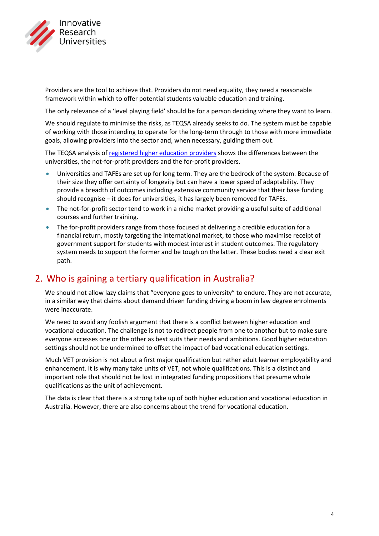

Providers are the tool to achieve that. Providers do not need equality, they need a reasonable framework within which to offer potential students valuable education and training.

The only relevance of a 'level playing field' should be for a person deciding where they want to learn.

We should regulate to minimise the risks, as TEQSA already seeks to do. The system must be capable of working with those intending to operate for the long-term through to those with more immediate goals, allowing providers into the sector and, when necessary, guiding them out.

The TEQSA analysis of [registered higher education providers](https://www.teqsa.gov.au/sites/g/files/net2046/f/statistics-report-2018-web.pdf?v=1534729727) shows the differences between the universities, the not-for-profit providers and the for-profit providers.

- Universities and TAFEs are set up for long term. They are the bedrock of the system. Because of their size they offer certainty of longevity but can have a lower speed of adaptability. They provide a breadth of outcomes including extensive community service that their base funding should recognise – it does for universities, it has largely been removed for TAFEs.
- The not-for-profit sector tend to work in a niche market providing a useful suite of additional courses and further training.
- The for-profit providers range from those focused at delivering a credible education for a financial return, mostly targeting the international market, to those who maximise receipt of government support for students with modest interest in student outcomes. The regulatory system needs to support the former and be tough on the latter. These bodies need a clear exit path.

#### 2. Who is gaining a tertiary qualification in Australia?

We should not allow lazy claims that "everyone goes to university" to endure. They are not accurate, in a similar way that claims about demand driven funding driving a boom in law degree enrolments were inaccurate.

We need to avoid any foolish argument that there is a conflict between higher education and vocational education. The challenge is not to redirect people from one to another but to make sure everyone accesses one or the other as best suits their needs and ambitions. Good higher education settings should not be undermined to offset the impact of bad vocational education settings.

Much VET provision is not about a first major qualification but rather adult learner employability and enhancement. It is why many take units of VET, not whole qualifications. This is a distinct and important role that should not be lost in integrated funding propositions that presume whole qualifications as the unit of achievement.

The data is clear that there is a strong take up of both higher education and vocational education in Australia. However, there are also concerns about the trend for vocational education.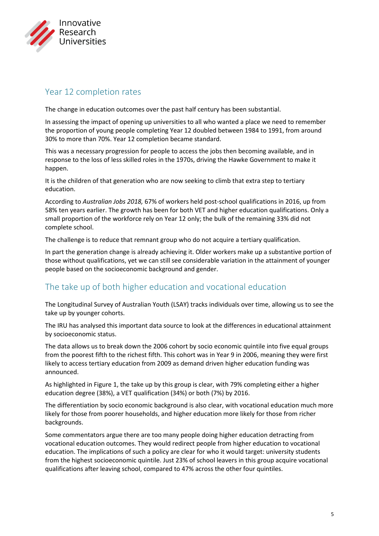

#### Year 12 completion rates

The change in education outcomes over the past half century has been substantial.

In assessing the impact of opening up universities to all who wanted a place we need to remember the proportion of young people completing Year 12 doubled between 1984 to 1991, from around 30% to more than 70%. Year 12 completion became standard.

This was a necessary progression for people to access the jobs then becoming available, and in response to the loss of less skilled roles in the 1970s, driving the Hawke Government to make it happen.

It is the children of that generation who are now seeking to climb that extra step to tertiary education.

According to *Australian Jobs 2018,* 67% of workers held post-school qualifications in 2016, up from 58% ten years earlier. The growth has been for both VET and higher education qualifications. Only a small proportion of the workforce rely on Year 12 only; the bulk of the remaining 33% did not complete school.

The challenge is to reduce that remnant group who do not acquire a tertiary qualification.

In part the generation change is already achieving it. Older workers make up a substantive portion of those without qualifications, yet we can still see considerable variation in the attainment of younger people based on the socioeconomic background and gender.

### The take up of both higher education and vocational education

The Longitudinal Survey of Australian Youth (LSAY) tracks individuals over time, allowing us to see the take up by younger cohorts.

The IRU has analysed this important data source to look at the differences in educational attainment by socioeconomic status.

The data allows us to break down the 2006 cohort by socio economic quintile into five equal groups from the poorest fifth to the richest fifth. This cohort was in Year 9 in 2006, meaning they were first likely to access tertiary education from 2009 as demand driven higher education funding was announced.

As highlighted in Figure 1, the take up by this group is clear, with 79% completing either a higher education degree (38%), a VET qualification (34%) or both (7%) by 2016.

The differentiation by socio economic background is also clear, with vocational education much more likely for those from poorer households, and higher education more likely for those from richer backgrounds.

Some commentators argue there are too many people doing higher education detracting from vocational education outcomes. They would redirect people from higher education to vocational education. The implications of such a policy are clear for who it would target: university students from the highest socioeconomic quintile. Just 23% of school leavers in this group acquire vocational qualifications after leaving school, compared to 47% across the other four quintiles.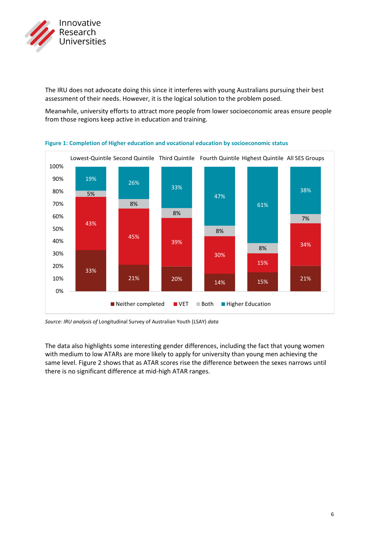

The IRU does not advocate doing this since it interferes with young Australians pursuing their best assessment of their needs. However, it is the logical solution to the problem posed.

Meanwhile, university efforts to attract more people from lower socioeconomic areas ensure people from those regions keep active in education and training.





*Source: IRU analysis of* Longitudinal Survey of Australian Youth (LSAY) *data*

The data also highlights some interesting gender differences, including the fact that young women with medium to low ATARs are more likely to apply for university than young men achieving the same level. Figure 2 shows that as ATAR scores rise the difference between the sexes narrows until there is no significant difference at mid-high ATAR ranges.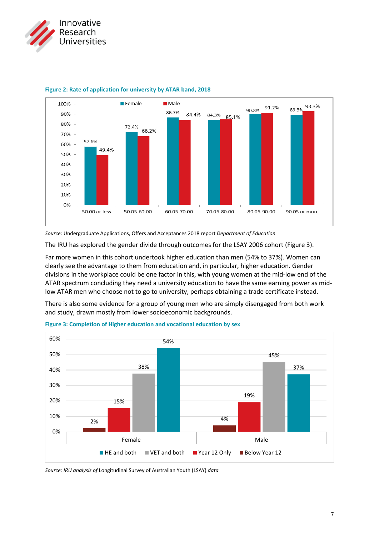



#### **Figure 2: Rate of application for university by ATAR band, 2018**

*Source:* Undergraduate Applications, Offers and Acceptances 2018 report *Department of Education*

The IRU has explored the gender divide through outcomes for the LSAY 2006 cohort (Figure 3).

Far more women in this cohort undertook higher education than men (54% to 37%). Women can clearly see the advantage to them from education and, in particular, higher education. Gender divisions in the workplace could be one factor in this, with young women at the mid-low end of the ATAR spectrum concluding they need a university education to have the same earning power as midlow ATAR men who choose not to go to university, perhaps obtaining a trade certificate instead.

There is also some evidence for a group of young men who are simply disengaged from both work and study, drawn mostly from lower socioeconomic backgrounds.



#### **Figure 3: Completion of Higher education and vocational education by sex**

*Source: IRU analysis of* Longitudinal Survey of Australian Youth (LSAY) *data*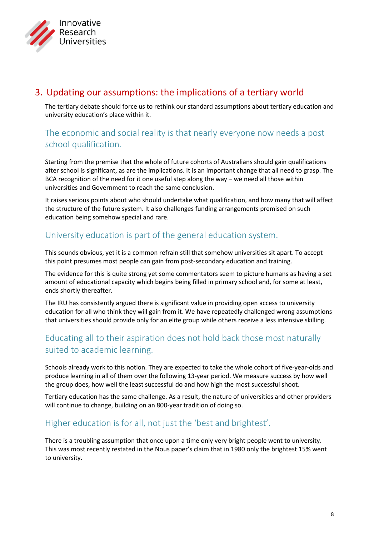

## 3. Updating our assumptions: the implications of a tertiary world

The tertiary debate should force us to rethink our standard assumptions about tertiary education and university education's place within it.

#### The economic and social reality is that nearly everyone now needs a post school qualification.

Starting from the premise that the whole of future cohorts of Australians should gain qualifications after school is significant, as are the implications. It is an important change that all need to grasp. The BCA recognition of the need for it one useful step along the way – we need all those within universities and Government to reach the same conclusion.

It raises serious points about who should undertake what qualification, and how many that will affect the structure of the future system. It also challenges funding arrangements premised on such education being somehow special and rare.

#### University education is part of the general education system.

This sounds obvious, yet it is a common refrain still that somehow universities sit apart. To accept this point presumes most people can gain from post-secondary education and training.

The evidence for this is quite strong yet some commentators seem to picture humans as having a set amount of educational capacity which begins being filled in primary school and, for some at least, ends shortly thereafter.

The IRU has consistently argued there is significant value in providing open access to university education for all who think they will gain from it. We have repeatedly challenged wrong assumptions that universities should provide only for an elite group while others receive a less intensive skilling.

### Educating all to their aspiration does not hold back those most naturally suited to academic learning.

Schools already work to this notion. They are expected to take the whole cohort of five-year-olds and produce learning in all of them over the following 13-year period. We measure success by how well the group does, how well the least successful do and how high the most successful shoot.

Tertiary education has the same challenge. As a result, the nature of universities and other providers will continue to change, building on an 800-year tradition of doing so.

#### Higher education is for all, not just the 'best and brightest'.

There is a troubling assumption that once upon a time only very bright people went to university. This was most recently restated in the Nous paper's claim that in 1980 only the brightest 15% went to university.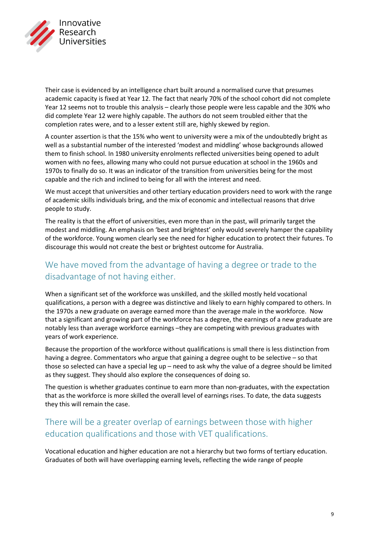

Their case is evidenced by an intelligence chart built around a normalised curve that presumes academic capacity is fixed at Year 12. The fact that nearly 70% of the school cohort did not complete Year 12 seems not to trouble this analysis – clearly those people were less capable and the 30% who did complete Year 12 were highly capable. The authors do not seem troubled either that the completion rates were, and to a lesser extent still are, highly skewed by region.

A counter assertion is that the 15% who went to university were a mix of the undoubtedly bright as well as a substantial number of the interested 'modest and middling' whose backgrounds allowed them to finish school. In 1980 university enrolments reflected universities being opened to adult women with no fees, allowing many who could not pursue education at school in the 1960s and 1970s to finally do so. It was an indicator of the transition from universities being for the most capable and the rich and inclined to being for all with the interest and need.

We must accept that universities and other tertiary education providers need to work with the range of academic skills individuals bring, and the mix of economic and intellectual reasons that drive people to study.

The reality is that the effort of universities, even more than in the past, will primarily target the modest and middling. An emphasis on 'best and brightest' only would severely hamper the capability of the workforce. Young women clearly see the need for higher education to protect their futures. To discourage this would not create the best or brightest outcome for Australia.

### We have moved from the advantage of having a degree or trade to the disadvantage of not having either.

When a significant set of the workforce was unskilled, and the skilled mostly held vocational qualifications, a person with a degree was distinctive and likely to earn highly compared to others. In the 1970s a new graduate on average earned more than the average male in the workforce. Now that a significant and growing part of the workforce has a degree, the earnings of a new graduate are notably less than average workforce earnings –they are competing with previous graduates with years of work experience.

Because the proportion of the workforce without qualifications is small there is less distinction from having a degree. Commentators who argue that gaining a degree ought to be selective – so that those so selected can have a special leg up – need to ask why the value of a degree should be limited as they suggest. They should also explore the consequences of doing so.

The question is whether graduates continue to earn more than non-graduates, with the expectation that as the workforce is more skilled the overall level of earnings rises. To date, the data suggests they this will remain the case.

#### There will be a greater overlap of earnings between those with higher education qualifications and those with VET qualifications.

Vocational education and higher education are not a hierarchy but two forms of tertiary education. Graduates of both will have overlapping earning levels, reflecting the wide range of people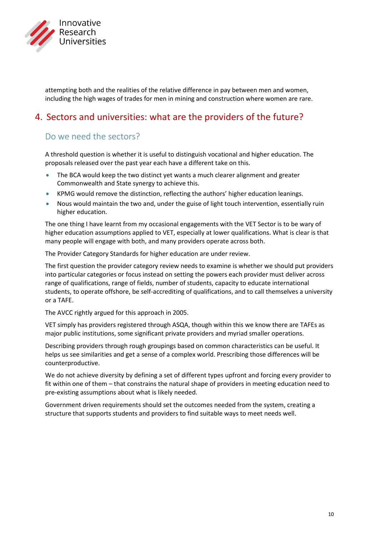

attempting both and the realities of the relative difference in pay between men and women, including the high wages of trades for men in mining and construction where women are rare.

## 4. Sectors and universities: what are the providers of the future?

#### Do we need the sectors?

A threshold question is whether it is useful to distinguish vocational and higher education. The proposals released over the past year each have a different take on this.

- The BCA would keep the two distinct yet wants a much clearer alignment and greater Commonwealth and State synergy to achieve this.
- KPMG would remove the distinction, reflecting the authors' higher education leanings.
- Nous would maintain the two and, under the guise of light touch intervention, essentially ruin higher education.

The one thing I have learnt from my occasional engagements with the VET Sector is to be wary of higher education assumptions applied to VET, especially at lower qualifications. What is clear is that many people will engage with both, and many providers operate across both.

The Provider Category Standards for higher education are under review.

The first question the provider category review needs to examine is whether we should put providers into particular categories or focus instead on setting the powers each provider must deliver across range of qualifications, range of fields, number of students, capacity to educate international students, to operate offshore, be self-accrediting of qualifications, and to call themselves a university or a TAFE.

The AVCC rightly argued for this approach in 2005.

VET simply has providers registered through ASQA, though within this we know there are TAFEs as major public institutions, some significant private providers and myriad smaller operations.

Describing providers through rough groupings based on common characteristics can be useful. It helps us see similarities and get a sense of a complex world. Prescribing those differences will be counterproductive.

We do not achieve diversity by defining a set of different types upfront and forcing every provider to fit within one of them – that constrains the natural shape of providers in meeting education need to pre-existing assumptions about what is likely needed.

Government driven requirements should set the outcomes needed from the system, creating a structure that supports students and providers to find suitable ways to meet needs well.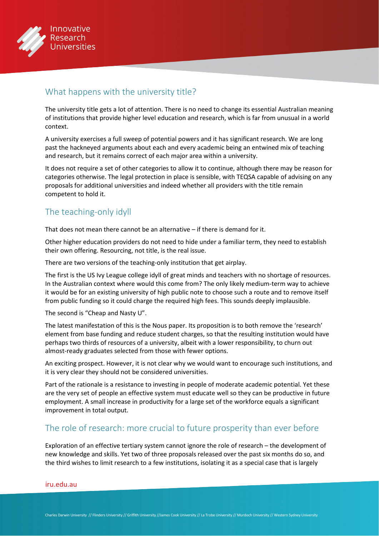

#### What happens with the university title?

The university title gets a lot of attention. There is no need to change its essential Australian meaning of institutions that provide higher level education and research, which is far from unusual in a world context.

A university exercises a full sweep of potential powers and it has significant research. We are long past the hackneyed arguments about each and every academic being an entwined mix of teaching and research, but it remains correct of each major area within a university.

It does not require a set of other categories to allow it to continue, although there may be reason for categories otherwise. The legal protection in place is sensible, with TEQSA capable of advising on any proposals for additional universities and indeed whether all providers with the title remain competent to hold it.

#### The teaching-only idyll

That does not mean there cannot be an alternative – if there is demand for it.

Other higher education providers do not need to hide under a familiar term, they need to establish their own offering. Resourcing, not title, is the real issue.

There are two versions of the teaching-only institution that get airplay.

The first is the US Ivy League college idyll of great minds and teachers with no shortage of resources. In the Australian context where would this come from? The only likely medium-term way to achieve it would be for an existing university of high public note to choose such a route and to remove itself from public funding so it could charge the required high fees. This sounds deeply implausible.

The second is "Cheap and Nasty U".

The latest manifestation of this is the Nous paper. Its proposition is to both remove the 'research' element from base funding and reduce student charges, so that the resulting institution would have perhaps two thirds of resources of a university, albeit with a lower responsibility, to churn out almost-ready graduates selected from those with fewer options.

An exciting prospect. However, it is not clear why we would want to encourage such institutions, and it is very clear they should not be considered universities.

Part of the rationale is a resistance to investing in people of moderate academic potential. Yet these are the very set of people an effective system must educate well so they can be productive in future employment. A small increase in productivity for a large set of the workforce equals a significant improvement in total output.

#### The role of research: more crucial to future prosperity than ever before

Exploration of an effective tertiary system cannot ignore the role of research – the development of new knowledge and skills. Yet two of three proposals released over the past six months do so, and the third wishes to limit research to a few institutions, isolating it as a special case that is largely

#### [iru.edu.au](http://iru.edu.au)